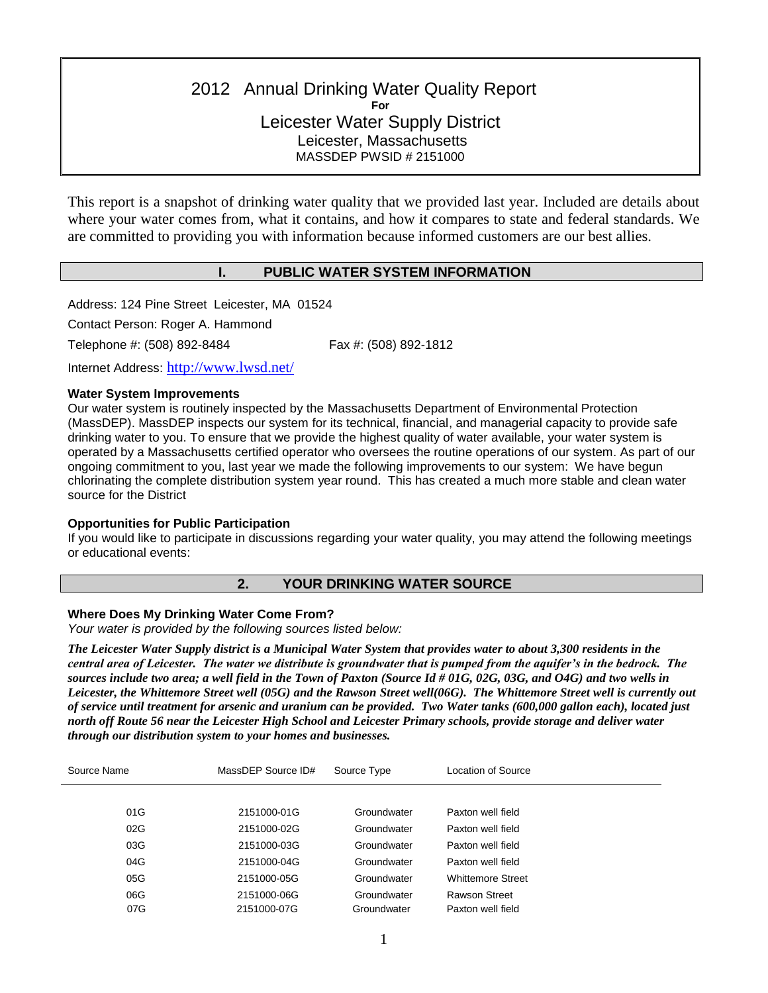# 2012 Annual Drinking Water Quality Report **For** Leicester Water Supply District Leicester, Massachusetts MASSDEP PWSID # 2151000

This report is a snapshot of drinking water quality that we provided last year. Included are details about where your water comes from, what it contains, and how it compares to state and federal standards. We are committed to providing you with information because informed customers are our best allies.

### **I. PUBLIC WATER SYSTEM INFORMATION**

Address: 124 Pine Street Leicester, MA 01524

Contact Person: Roger A. Hammond

Telephone #: (508) 892-8484 Fax #: (508) 892-1812

Internet Address: <http://www.lwsd.net/>

#### **Water System Improvements**

Our water system is routinely inspected by the Massachusetts Department of Environmental Protection (MassDEP). MassDEP inspects our system for its technical, financial, and managerial capacity to provide safe drinking water to you. To ensure that we provide the highest quality of water available, your water system is operated by a Massachusetts certified operator who oversees the routine operations of our system. As part of our ongoing commitment to you, last year we made the following improvements to our system: We have begun chlorinating the complete distribution system year round. This has created a much more stable and clean water source for the District

### **Opportunities for Public Participation**

If you would like to participate in discussions regarding your water quality, you may attend the following meetings or educational events:

### **2. YOUR DRINKING WATER SOURCE**

### **Where Does My Drinking Water Come From?**

*Your water is provided by the following sources listed below:*

*The Leicester Water Supply district is a Municipal Water System that provides water to about 3,300 residents in the central area of Leicester. The water we distribute is groundwater that is pumped from the aquifer's in the bedrock. The sources include two area; a well field in the Town of Paxton (Source Id # 01G, 02G, 03G, and O4G) and two wells in Leicester, the Whittemore Street well (05G) and the Rawson Street well(06G). The Whittemore Street well is currently out of service until treatment for arsenic and uranium can be provided. Two Water tanks (600,000 gallon each), located just north off Route 56 near the Leicester High School and Leicester Primary schools, provide storage and deliver water through our distribution system to your homes and businesses.* 

| Source Name | MassDEP Source ID# | Source Type | Location of Source       |
|-------------|--------------------|-------------|--------------------------|
|             |                    |             |                          |
| 01G         | 2151000-01G        | Groundwater | Paxton well field        |
| 02G         | 2151000-02G        | Groundwater | Paxton well field        |
| 03G         | 2151000-03G        | Groundwater | Paxton well field        |
| 04G         | 2151000-04G        | Groundwater | Paxton well field        |
| 05G         | 2151000-05G        | Groundwater | <b>Whittemore Street</b> |
| 06G         | 2151000-06G        | Groundwater | <b>Rawson Street</b>     |
| 07G         | 2151000-07G        | Groundwater | Paxton well field        |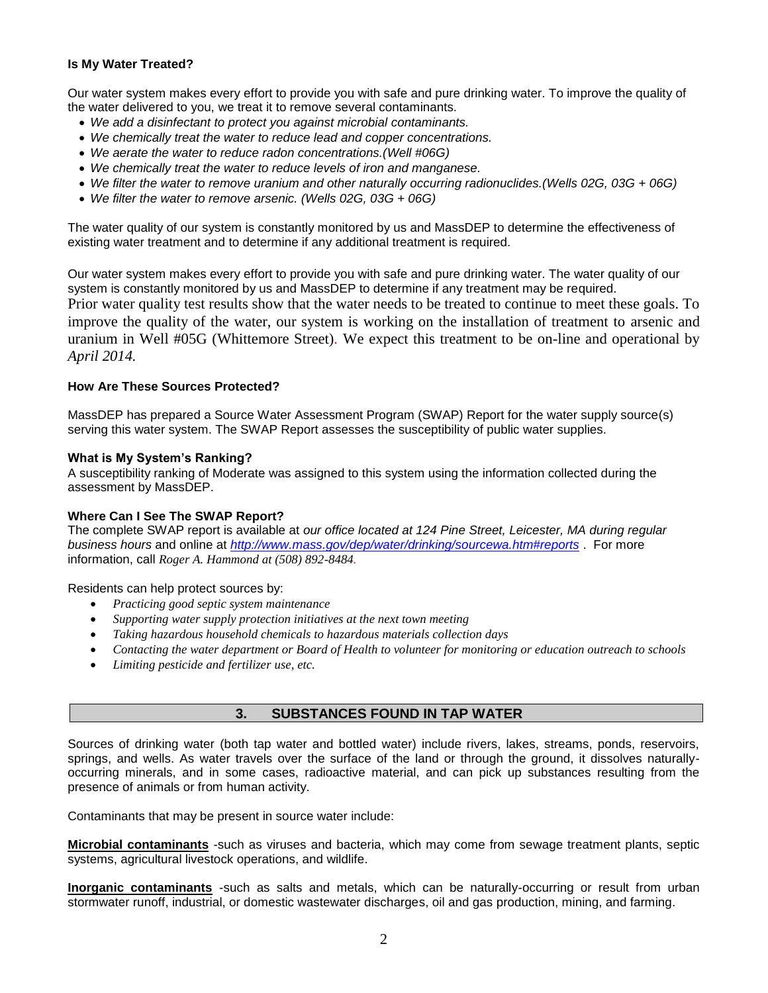### **Is My Water Treated?**

Our water system makes every effort to provide you with safe and pure drinking water. To improve the quality of the water delivered to you, we treat it to remove several contaminants.

- *We add a disinfectant to protect you against microbial contaminants.*
- *We chemically treat the water to reduce lead and copper concentrations.*
- *We aerate the water to reduce radon concentrations.(Well #06G)*
- *We chemically treat the water to reduce levels of iron and manganese.*
- *We filter the water to remove uranium and other naturally occurring radionuclides.(Wells 02G, 03G + 06G)*
- *We filter the water to remove arsenic. (Wells 02G, 03G + 06G)*

The water quality of our system is constantly monitored by us and MassDEP to determine the effectiveness of existing water treatment and to determine if any additional treatment is required.

Our water system makes every effort to provide you with safe and pure drinking water. The water quality of our system is constantly monitored by us and MassDEP to determine if any treatment may be required. Prior water quality test results show that the water needs to be treated to continue to meet these goals. To improve the quality of the water, our system is working on the installation of treatment to arsenic and uranium in Well #05G (Whittemore Street)*.* We expect this treatment to be on-line and operational by *April 2014.*

### **How Are These Sources Protected?**

MassDEP has prepared a Source Water Assessment Program (SWAP) Report for the water supply source(s) serving this water system. The SWAP Report assesses the susceptibility of public water supplies.

### **What is My System's Ranking?**

A susceptibility ranking of Moderate was assigned to this system using the information collected during the assessment by MassDEP.

### **Where Can I See The SWAP Report?**

The complete SWAP report is available at *our office located at 124 Pine Street, Leicester, MA during regular business hours* and online at *<http://www.mass.gov/dep/water/drinking/sourcewa.htm#reports>* . For more information, call *Roger A. Hammond at (508) 892-8484.*

### Residents can help protect sources by:

- *Practicing good septic system maintenance*
- *Supporting water supply protection initiatives at the next town meeting*
- *Taking hazardous household chemicals to hazardous materials collection days*
- *Contacting the water department or Board of Health to volunteer for monitoring or education outreach to schools*
- *Limiting pesticide and fertilizer use, etc.*

### **3. SUBSTANCES FOUND IN TAP WATER**

Sources of drinking water (both tap water and bottled water) include rivers, lakes, streams, ponds, reservoirs, springs, and wells. As water travels over the surface of the land or through the ground, it dissolves naturallyoccurring minerals, and in some cases, radioactive material, and can pick up substances resulting from the presence of animals or from human activity.

Contaminants that may be present in source water include:

**Microbial contaminants** -such as viruses and bacteria, which may come from sewage treatment plants, septic systems, agricultural livestock operations, and wildlife.

**Inorganic contaminants** -such as salts and metals, which can be naturally-occurring or result from urban stormwater runoff, industrial, or domestic wastewater discharges, oil and gas production, mining, and farming.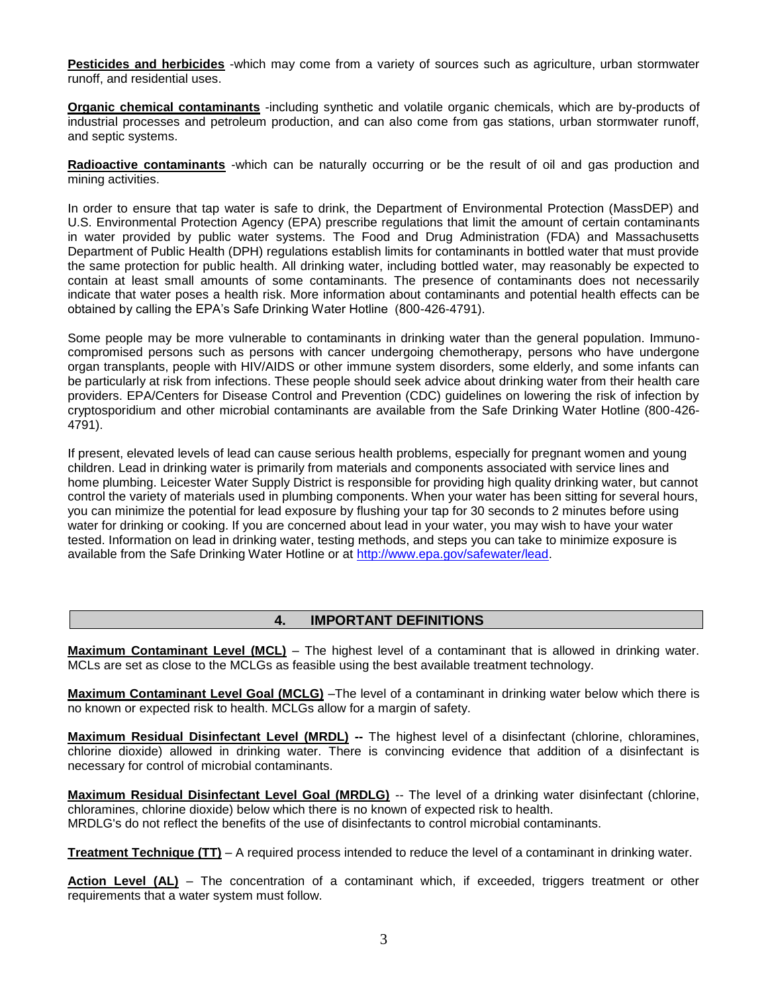**Pesticides and herbicides** -which may come from a variety of sources such as agriculture, urban stormwater runoff, and residential uses.

**Organic chemical contaminants** -including synthetic and volatile organic chemicals, which are by-products of industrial processes and petroleum production, and can also come from gas stations, urban stormwater runoff, and septic systems.

**Radioactive contaminants** -which can be naturally occurring or be the result of oil and gas production and mining activities.

In order to ensure that tap water is safe to drink, the Department of Environmental Protection (MassDEP) and U.S. Environmental Protection Agency (EPA) prescribe regulations that limit the amount of certain contaminants in water provided by public water systems. The Food and Drug Administration (FDA) and Massachusetts Department of Public Health (DPH) regulations establish limits for contaminants in bottled water that must provide the same protection for public health. All drinking water, including bottled water, may reasonably be expected to contain at least small amounts of some contaminants. The presence of contaminants does not necessarily indicate that water poses a health risk. More information about contaminants and potential health effects can be obtained by calling the EPA's Safe Drinking Water Hotline (800-426-4791).

Some people may be more vulnerable to contaminants in drinking water than the general population. Immunocompromised persons such as persons with cancer undergoing chemotherapy, persons who have undergone organ transplants, people with HIV/AIDS or other immune system disorders, some elderly, and some infants can be particularly at risk from infections. These people should seek advice about drinking water from their health care providers. EPA/Centers for Disease Control and Prevention (CDC) guidelines on lowering the risk of infection by cryptosporidium and other microbial contaminants are available from the Safe Drinking Water Hotline (800-426- 4791).

If present, elevated levels of lead can cause serious health problems, especially for pregnant women and young children. Lead in drinking water is primarily from materials and components associated with service lines and home plumbing. Leicester Water Supply District is responsible for providing high quality drinking water, but cannot control the variety of materials used in plumbing components. When your water has been sitting for several hours, you can minimize the potential for lead exposure by flushing your tap for 30 seconds to 2 minutes before using water for drinking or cooking. If you are concerned about lead in your water, you may wish to have your water tested. Information on lead in drinking water, testing methods, and steps you can take to minimize exposure is available from the Safe Drinking Water Hotline or at [http://www.epa.gov/safewater/lead.](http://www.epa.gov/safewater/lead)

## **4. IMPORTANT DEFINITIONS**

**Maximum Contaminant Level (MCL)** – The highest level of a contaminant that is allowed in drinking water. MCLs are set as close to the MCLGs as feasible using the best available treatment technology.

**Maximum Contaminant Level Goal (MCLG)** –The level of a contaminant in drinking water below which there is no known or expected risk to health. MCLGs allow for a margin of safety.

**Maximum Residual Disinfectant Level (MRDL) --** The highest level of a disinfectant (chlorine, chloramines, chlorine dioxide) allowed in drinking water. There is convincing evidence that addition of a disinfectant is necessary for control of microbial contaminants.

**Maximum Residual Disinfectant Level Goal (MRDLG)** -- The level of a drinking water disinfectant (chlorine, chloramines, chlorine dioxide) below which there is no known of expected risk to health. MRDLG's do not reflect the benefits of the use of disinfectants to control microbial contaminants.

**Treatment Technique (TT)** – A required process intended to reduce the level of a contaminant in drinking water.

**Action Level (AL)** – The concentration of a contaminant which, if exceeded, triggers treatment or other requirements that a water system must follow.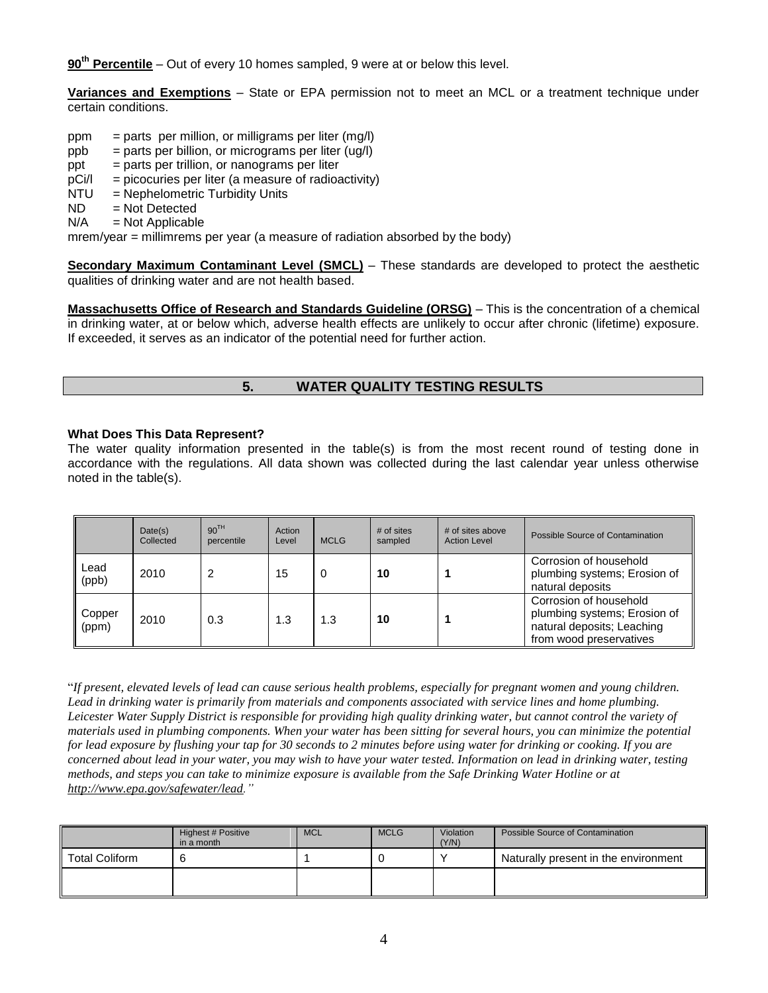**90th Percentile** – Out of every 10 homes sampled, 9 were at or below this level.

**Variances and Exemptions** – State or EPA permission not to meet an MCL or a treatment technique under certain conditions.

- ppm = parts per million, or milligrams per liter  $(mq/l)$
- $ppb = parts per billion, or micrograms per liter (uq/l)$
- $ppt = parts per trillion, or nanograms per liter$
- $pCi/1$  = picocuries per liter (a measure of radioactivity)
- NTU = Nephelometric Turbidity Units
- $ND = Not Detection$
- $N/A$  = Not Applicable

mrem/year = millimrems per year (a measure of radiation absorbed by the body)

**Secondary Maximum Contaminant Level (SMCL)** – These standards are developed to protect the aesthetic qualities of drinking water and are not health based.

**Massachusetts Office of Research and Standards Guideline (ORSG)** – This is the concentration of a chemical in drinking water, at or below which, adverse health effects are unlikely to occur after chronic (lifetime) exposure. If exceeded, it serves as an indicator of the potential need for further action.

# **5. WATER QUALITY TESTING RESULTS**

### **What Does This Data Represent?**

The water quality information presented in the table(s) is from the most recent round of testing done in accordance with the regulations. All data shown was collected during the last calendar year unless otherwise noted in the table(s).

|                 | Date(s)<br>Collected | 90 <sup>TH</sup><br>percentile | Action<br>Level | <b>MCLG</b> | $#$ of sites<br>sampled | # of sites above<br><b>Action Level</b> | Possible Source of Contamination                                                                                |
|-----------------|----------------------|--------------------------------|-----------------|-------------|-------------------------|-----------------------------------------|-----------------------------------------------------------------------------------------------------------------|
| Lead<br>(ppb)   | 2010                 | っ                              | 15              | 0           | 10                      |                                         | Corrosion of household<br>plumbing systems; Erosion of<br>natural deposits                                      |
| Copper<br>(ppm) | 2010                 | 0.3                            | 1.3             | 1.3         | 10                      |                                         | Corrosion of household<br>plumbing systems; Erosion of<br>natural deposits; Leaching<br>from wood preservatives |

"*If present, elevated levels of lead can cause serious health problems, especially for pregnant women and young children.*  Lead in drinking water is primarily from materials and components associated with service lines and home plumbing. *Leicester Water Supply District is responsible for providing high quality drinking water, but cannot control the variety of materials used in plumbing components. When your water has been sitting for several hours, you can minimize the potential for lead exposure by flushing your tap for 30 seconds to 2 minutes before using water for drinking or cooking. If you are concerned about lead in your water, you may wish to have your water tested. Information on lead in drinking water, testing methods, and steps you can take to minimize exposure is available from the Safe Drinking Water Hotline or at [http://www.epa.gov/safewater/lead.](http://www.epa.gov/safewater/lead)"* 

|                       | Highest # Positive<br>in a month | <b>MCL</b> | <b>MCLG</b> | Violation<br>(Y/N) | Possible Source of Contamination     |
|-----------------------|----------------------------------|------------|-------------|--------------------|--------------------------------------|
| <b>Total Coliform</b> |                                  |            |             | $\lambda$          | Naturally present in the environment |
|                       |                                  |            |             |                    |                                      |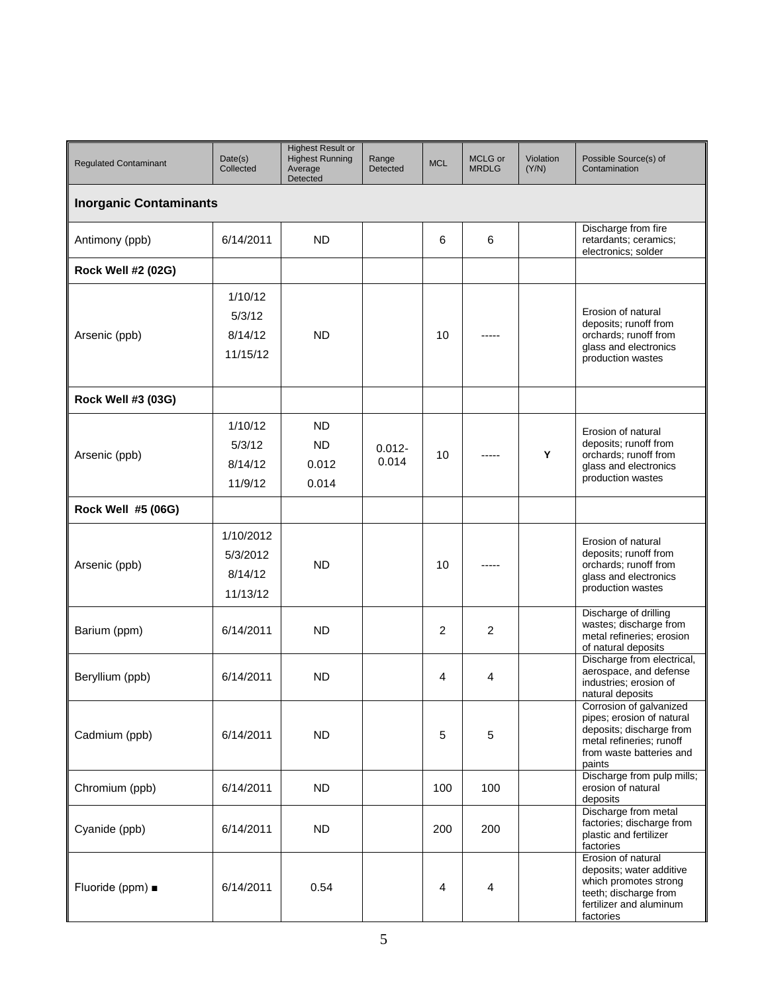| <b>Regulated Contaminant</b>  | Date(s)<br>Collected                         | <b>Highest Result or</b><br><b>Highest Running</b><br>Average<br>Detected | Range<br>Detected  | <b>MCL</b> | MCLG or<br><b>MRDLG</b> | Violation<br>(Y/N) | Possible Source(s) of<br>Contamination                                                                                                             |  |  |
|-------------------------------|----------------------------------------------|---------------------------------------------------------------------------|--------------------|------------|-------------------------|--------------------|----------------------------------------------------------------------------------------------------------------------------------------------------|--|--|
| <b>Inorganic Contaminants</b> |                                              |                                                                           |                    |            |                         |                    |                                                                                                                                                    |  |  |
| Antimony (ppb)                | 6/14/2011                                    | <b>ND</b>                                                                 |                    | 6          | 6                       |                    | Discharge from fire<br>retardants; ceramics;<br>electronics; solder                                                                                |  |  |
| <b>Rock Well #2 (02G)</b>     |                                              |                                                                           |                    |            |                         |                    |                                                                                                                                                    |  |  |
| Arsenic (ppb)                 | 1/10/12<br>5/3/12<br>8/14/12<br>11/15/12     | <b>ND</b>                                                                 |                    | 10         |                         |                    | Erosion of natural<br>deposits; runoff from<br>orchards; runoff from<br>glass and electronics<br>production wastes                                 |  |  |
| <b>Rock Well #3 (03G)</b>     |                                              |                                                                           |                    |            |                         |                    |                                                                                                                                                    |  |  |
| Arsenic (ppb)                 | 1/10/12<br>5/3/12<br>8/14/12<br>11/9/12      | <b>ND</b><br><b>ND</b><br>0.012<br>0.014                                  | $0.012 -$<br>0.014 | 10         |                         | Y                  | Erosion of natural<br>deposits; runoff from<br>orchards; runoff from<br>glass and electronics<br>production wastes                                 |  |  |
| Rock Well #5 (06G)            |                                              |                                                                           |                    |            |                         |                    |                                                                                                                                                    |  |  |
| Arsenic (ppb)                 | 1/10/2012<br>5/3/2012<br>8/14/12<br>11/13/12 | <b>ND</b>                                                                 |                    | 10         |                         |                    | Erosion of natural<br>deposits; runoff from<br>orchards; runoff from<br>glass and electronics<br>production wastes                                 |  |  |
| Barium (ppm)                  | 6/14/2011                                    | <b>ND</b>                                                                 |                    | 2          | $\overline{c}$          |                    | Discharge of drilling<br>wastes; discharge from<br>metal refineries; erosion<br>of natural deposits                                                |  |  |
| Beryllium (ppb)               | 6/14/2011                                    | <b>ND</b>                                                                 |                    | 4          | 4                       |                    | Discharge from electrical,<br>aerospace, and defense<br>industries: erosion of<br>natural deposits                                                 |  |  |
| Cadmium (ppb)                 | 6/14/2011                                    | <b>ND</b>                                                                 |                    | 5          | 5                       |                    | Corrosion of galvanized<br>pipes; erosion of natural<br>deposits; discharge from<br>metal refineries: runoff<br>from waste batteries and<br>paints |  |  |
| Chromium (ppb)                | 6/14/2011                                    | <b>ND</b>                                                                 |                    | 100        | 100                     |                    | Discharge from pulp mills;<br>erosion of natural<br>deposits                                                                                       |  |  |
| Cyanide (ppb)                 | 6/14/2011                                    | <b>ND</b>                                                                 |                    | 200        | 200                     |                    | Discharge from metal<br>factories; discharge from<br>plastic and fertilizer<br>factories                                                           |  |  |
| Fluoride (ppm) $\blacksquare$ | 6/14/2011                                    | 0.54                                                                      |                    | 4          | 4                       |                    | Erosion of natural<br>deposits; water additive<br>which promotes strong<br>teeth; discharge from<br>fertilizer and aluminum<br>factories           |  |  |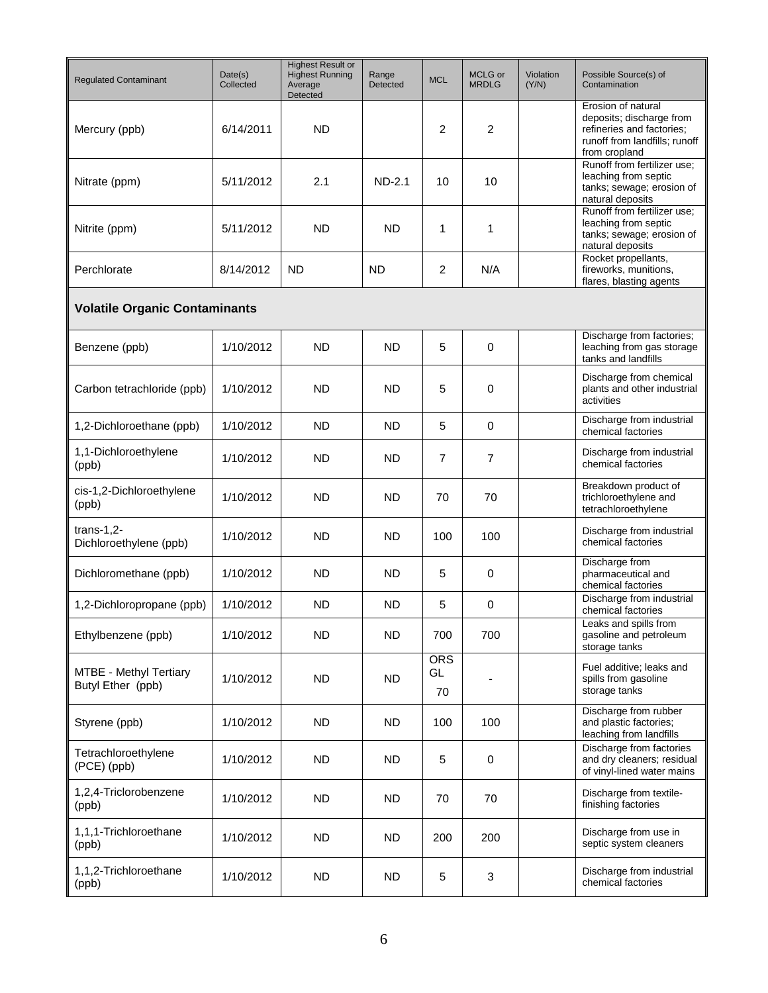| <b>Regulated Contaminant</b>                | Date(s)<br>Collected | <b>Highest Result or</b><br><b>Highest Running</b><br>Average<br>Detected | Range<br><b>Detected</b> | <b>MCL</b>             | MCLG or<br><b>MRDLG</b> | Violation<br>(Y/N) | Possible Source(s) of<br>Contamination                                                                                        |
|---------------------------------------------|----------------------|---------------------------------------------------------------------------|--------------------------|------------------------|-------------------------|--------------------|-------------------------------------------------------------------------------------------------------------------------------|
| Mercury (ppb)                               | 6/14/2011            | <b>ND</b>                                                                 |                          | 2                      | $\overline{2}$          |                    | Erosion of natural<br>deposits; discharge from<br>refineries and factories;<br>runoff from landfills; runoff<br>from cropland |
| Nitrate (ppm)                               | 5/11/2012            | 2.1                                                                       | $ND-2.1$                 | 10                     | 10                      |                    | Runoff from fertilizer use;<br>leaching from septic<br>tanks; sewage; erosion of<br>natural deposits                          |
| Nitrite (ppm)                               | 5/11/2012            | <b>ND</b>                                                                 | <b>ND</b>                | 1                      | 1                       |                    | Runoff from fertilizer use;<br>leaching from septic<br>tanks; sewage; erosion of<br>natural deposits                          |
| Perchlorate                                 | 8/14/2012            | <b>ND</b>                                                                 | <b>ND</b>                | 2                      | N/A                     |                    | Rocket propellants,<br>fireworks, munitions,<br>flares, blasting agents                                                       |
| <b>Volatile Organic Contaminants</b>        |                      |                                                                           |                          |                        |                         |                    |                                                                                                                               |
| Benzene (ppb)                               | 1/10/2012            | <b>ND</b>                                                                 | ND                       | 5                      | 0                       |                    | Discharge from factories;<br>leaching from gas storage<br>tanks and landfills                                                 |
| Carbon tetrachloride (ppb)                  | 1/10/2012            | <b>ND</b>                                                                 | ND                       | 5                      | $\mathbf 0$             |                    | Discharge from chemical<br>plants and other industrial<br>activities                                                          |
| 1,2-Dichloroethane (ppb)                    | 1/10/2012            | <b>ND</b>                                                                 | <b>ND</b>                | 5                      | 0                       |                    | Discharge from industrial<br>chemical factories                                                                               |
| 1,1-Dichloroethylene<br>(ppb)               | 1/10/2012            | <b>ND</b>                                                                 | ND                       | $\overline{7}$         | $\overline{7}$          |                    | Discharge from industrial<br>chemical factories                                                                               |
| cis-1,2-Dichloroethylene<br>(ppb)           | 1/10/2012            | <b>ND</b>                                                                 | ND                       | 70                     | 70                      |                    | Breakdown product of<br>trichloroethylene and<br>tetrachloroethylene                                                          |
| $trans-1,2-$<br>Dichloroethylene (ppb)      | 1/10/2012            | <b>ND</b>                                                                 | <b>ND</b>                | 100                    | 100                     |                    | Discharge from industrial<br>chemical factories                                                                               |
| Dichloromethane (ppb)                       | 1/10/2012            | <b>ND</b>                                                                 | <b>ND</b>                | 5                      | 0                       |                    | Discharge from<br>pharmaceutical and<br>chemical factories                                                                    |
| 1,2-Dichloropropane (ppb)                   | 1/10/2012            | <b>ND</b>                                                                 | <b>ND</b>                | 5                      | 0                       |                    | Discharge from industrial<br>chemical factories                                                                               |
| Ethylbenzene (ppb)                          | 1/10/2012            | <b>ND</b>                                                                 | ND.                      | 700                    | 700                     |                    | Leaks and spills from<br>gasoline and petroleum<br>storage tanks                                                              |
| MTBE - Methyl Tertiary<br>Butyl Ether (ppb) | 1/10/2012            | <b>ND</b>                                                                 | <b>ND</b>                | <b>ORS</b><br>GL<br>70 |                         |                    | Fuel additive; leaks and<br>spills from gasoline<br>storage tanks                                                             |
| Styrene (ppb)                               | 1/10/2012            | <b>ND</b>                                                                 | <b>ND</b>                | 100                    | 100                     |                    | Discharge from rubber<br>and plastic factories;<br>leaching from landfills                                                    |
| Tetrachloroethylene<br>(PCE) (ppb)          | 1/10/2012            | <b>ND</b>                                                                 | ND.                      | 5                      | $\mathbf 0$             |                    | Discharge from factories<br>and dry cleaners; residual<br>of vinyl-lined water mains                                          |
| 1,2,4-Triclorobenzene<br>(ppb)              | 1/10/2012            | <b>ND</b>                                                                 | <b>ND</b>                | 70                     | 70                      |                    | Discharge from textile-<br>finishing factories                                                                                |
| 1,1,1-Trichloroethane<br>(ppb)              | 1/10/2012            | <b>ND</b>                                                                 | ND.                      | 200                    | 200                     |                    | Discharge from use in<br>septic system cleaners                                                                               |
| 1,1,2-Trichloroethane<br>(ppb)              | 1/10/2012            | <b>ND</b>                                                                 | <b>ND</b>                | 5                      | 3                       |                    | Discharge from industrial<br>chemical factories                                                                               |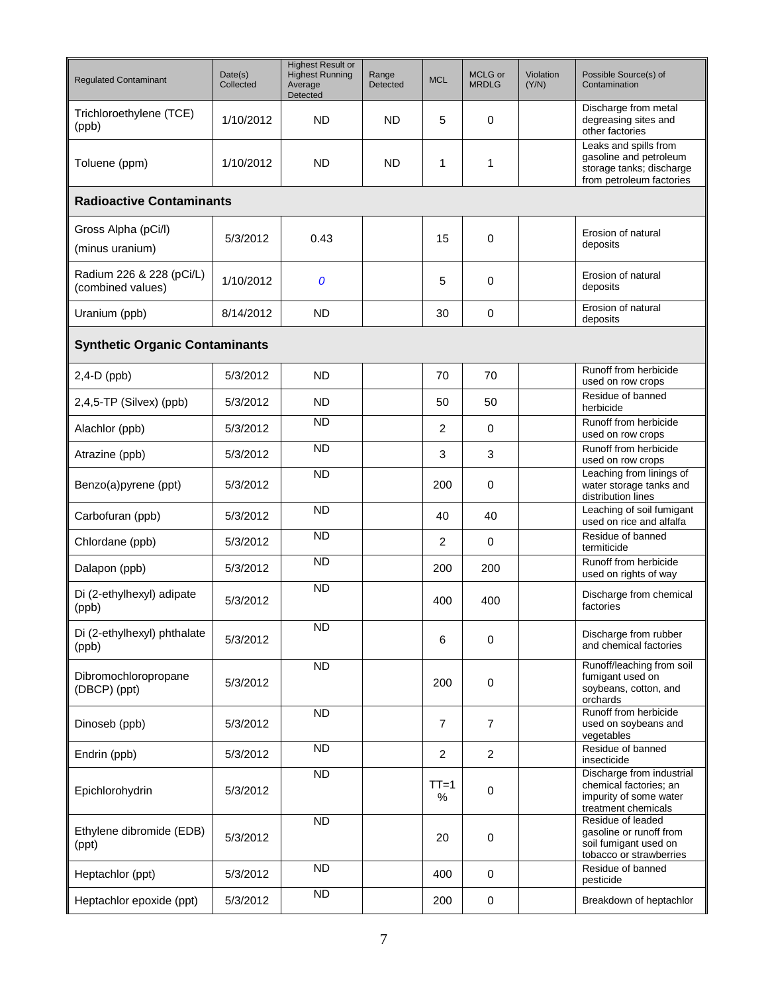| <b>Regulated Contaminant</b>                  | Date(s)<br>Collected | <b>Highest Result or</b><br><b>Highest Running</b><br>Average<br>Detected | Range<br>Detected | <b>MCL</b>     | MCLG or<br><b>MRDLG</b> | Violation<br>(Y/N) | Possible Source(s) of<br>Contamination                                                                  |  |  |  |
|-----------------------------------------------|----------------------|---------------------------------------------------------------------------|-------------------|----------------|-------------------------|--------------------|---------------------------------------------------------------------------------------------------------|--|--|--|
| Trichloroethylene (TCE)<br>(ppb)              | 1/10/2012            | <b>ND</b>                                                                 | <b>ND</b>         | 5              | 0                       |                    | Discharge from metal<br>degreasing sites and<br>other factories                                         |  |  |  |
| Toluene (ppm)                                 | 1/10/2012            | <b>ND</b>                                                                 | <b>ND</b>         | 1              | 1                       |                    | Leaks and spills from<br>gasoline and petroleum<br>storage tanks; discharge<br>from petroleum factories |  |  |  |
| <b>Radioactive Contaminants</b>               |                      |                                                                           |                   |                |                         |                    |                                                                                                         |  |  |  |
| Gross Alpha (pCi/l)<br>(minus uranium)        | 5/3/2012             | 0.43                                                                      |                   | 15             | 0                       |                    | Erosion of natural<br>deposits                                                                          |  |  |  |
| Radium 226 & 228 (pCi/L)<br>(combined values) | 1/10/2012            | 0                                                                         |                   | 5              | 0                       |                    | Erosion of natural<br>deposits                                                                          |  |  |  |
| Uranium (ppb)                                 | 8/14/2012            | <b>ND</b>                                                                 |                   | 30             | 0                       |                    | Erosion of natural<br>deposits                                                                          |  |  |  |
| <b>Synthetic Organic Contaminants</b>         |                      |                                                                           |                   |                |                         |                    |                                                                                                         |  |  |  |
| $2,4-D$ (ppb)                                 | 5/3/2012             | <b>ND</b>                                                                 |                   | 70             | 70                      |                    | Runoff from herbicide<br>used on row crops                                                              |  |  |  |
| 2,4,5-TP (Silvex) (ppb)                       | 5/3/2012             | <b>ND</b>                                                                 |                   | 50             | 50                      |                    | Residue of banned<br>herbicide                                                                          |  |  |  |
| Alachlor (ppb)                                | 5/3/2012             | <b>ND</b>                                                                 |                   | 2              | $\mathbf 0$             |                    | Runoff from herbicide<br>used on row crops                                                              |  |  |  |
| Atrazine (ppb)                                | 5/3/2012             | <b>ND</b>                                                                 |                   | 3              | 3                       |                    | Runoff from herbicide<br>used on row crops                                                              |  |  |  |
| Benzo(a)pyrene (ppt)                          | 5/3/2012             | <b>ND</b>                                                                 |                   | 200            | 0                       |                    | Leaching from linings of<br>water storage tanks and<br>distribution lines                               |  |  |  |
| Carbofuran (ppb)                              | 5/3/2012             | <b>ND</b>                                                                 |                   | 40             | 40                      |                    | Leaching of soil fumigant<br>used on rice and alfalfa                                                   |  |  |  |
| Chlordane (ppb)                               | 5/3/2012             | <b>ND</b>                                                                 |                   | 2              | 0                       |                    | Residue of banned<br>termiticide                                                                        |  |  |  |
| Dalapon (ppb)                                 | 5/3/2012             | <b>ND</b>                                                                 |                   | 200            | 200                     |                    | Runoff from herbicide<br>used on rights of way                                                          |  |  |  |
| Di (2-ethylhexyl) adipate<br>(ppb)            | 5/3/2012             | <b>ND</b>                                                                 |                   | 400            | 400                     |                    | Discharge from chemical<br>factories                                                                    |  |  |  |
| Di (2-ethylhexyl) phthalate<br>(ppb)          | 5/3/2012             | $\overline{ND}$                                                           |                   | 6              | 0                       |                    | Discharge from rubber<br>and chemical factories                                                         |  |  |  |
| Dibromochloropropane<br>(DBCP) (ppt)          | 5/3/2012             | <b>ND</b>                                                                 |                   | 200            | $\mathbf 0$             |                    | Runoff/leaching from soil<br>fumigant used on<br>soybeans, cotton, and<br>orchards                      |  |  |  |
| Dinoseb (ppb)                                 | 5/3/2012             | <b>ND</b>                                                                 |                   | $\overline{7}$ | $\overline{7}$          |                    | Runoff from herbicide<br>used on soybeans and<br>vegetables                                             |  |  |  |
| Endrin (ppb)                                  | 5/3/2012             | <b>ND</b>                                                                 |                   | $\overline{2}$ | $\overline{2}$          |                    | Residue of banned<br>insecticide                                                                        |  |  |  |
| Epichlorohydrin                               | 5/3/2012             | $\overline{ND}$                                                           |                   | $TT=1$<br>%    | 0                       |                    | Discharge from industrial<br>chemical factories; an<br>impurity of some water<br>treatment chemicals    |  |  |  |
| Ethylene dibromide (EDB)<br>(ppt)             | 5/3/2012             | <b>ND</b>                                                                 |                   | 20             | $\mathbf 0$             |                    | Residue of leaded<br>gasoline or runoff from<br>soil fumigant used on<br>tobacco or strawberries        |  |  |  |
| Heptachlor (ppt)                              | 5/3/2012             | <b>ND</b>                                                                 |                   | 400            | $\mathbf 0$             |                    | Residue of banned<br>pesticide                                                                          |  |  |  |
| Heptachlor epoxide (ppt)                      | 5/3/2012             | <b>ND</b>                                                                 |                   | 200            | $\pmb{0}$               |                    | Breakdown of heptachlor                                                                                 |  |  |  |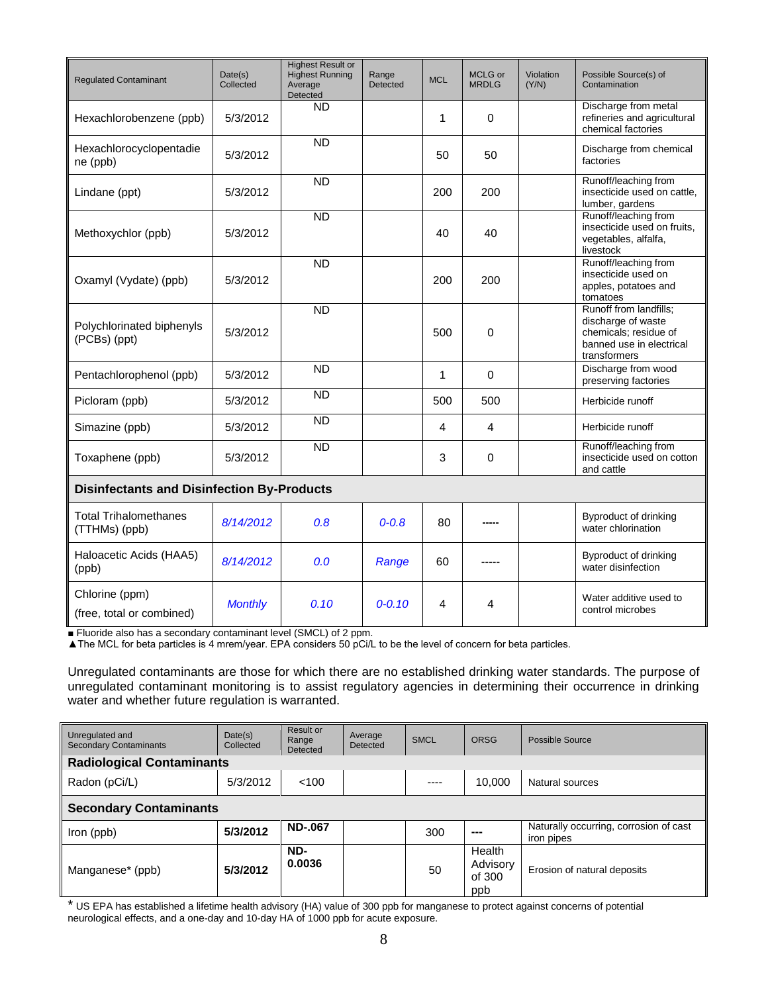| <b>Regulated Contaminant</b>                      | Date(s)<br>Collected | <b>Highest Result or</b><br><b>Highest Running</b><br>Average<br>Detected | Range<br>Detected | <b>MCL</b> | MCLG or<br><b>MRDLG</b> | Violation<br>(Y/N) | Possible Source(s) of<br>Contamination                                                                            |  |
|---------------------------------------------------|----------------------|---------------------------------------------------------------------------|-------------------|------------|-------------------------|--------------------|-------------------------------------------------------------------------------------------------------------------|--|
| Hexachlorobenzene (ppb)                           | 5/3/2012             | <b>ND</b>                                                                 |                   | 1          | 0                       |                    | Discharge from metal<br>refineries and agricultural<br>chemical factories                                         |  |
| Hexachlorocyclopentadie<br>ne (ppb)               | 5/3/2012             | <b>ND</b>                                                                 |                   | 50         | 50                      |                    | Discharge from chemical<br>factories                                                                              |  |
| Lindane (ppt)                                     | 5/3/2012             | $\overline{ND}$                                                           |                   | 200        | 200                     |                    | Runoff/leaching from<br>insecticide used on cattle.<br>lumber, gardens                                            |  |
| Methoxychlor (ppb)                                | 5/3/2012             | $\overline{ND}$                                                           |                   | 40         | 40                      |                    | Runoff/leaching from<br>insecticide used on fruits,<br>vegetables, alfalfa,<br>livestock                          |  |
| Oxamyl (Vydate) (ppb)                             | 5/3/2012             | <b>ND</b>                                                                 |                   | 200        | 200                     |                    | Runoff/leaching from<br>insecticide used on<br>apples, potatoes and<br>tomatoes                                   |  |
| Polychlorinated biphenyls<br>(PCBs) (ppt)         | 5/3/2012             | <b>ND</b>                                                                 |                   | 500        | $\Omega$                |                    | Runoff from landfills;<br>discharge of waste<br>chemicals; residue of<br>banned use in electrical<br>transformers |  |
| Pentachlorophenol (ppb)                           | 5/3/2012             | <b>ND</b>                                                                 |                   | 1          | $\mathbf 0$             |                    | Discharge from wood<br>preserving factories                                                                       |  |
| Picloram (ppb)                                    | 5/3/2012             | <b>ND</b>                                                                 |                   | 500        | 500                     |                    | Herbicide runoff                                                                                                  |  |
| Simazine (ppb)                                    | 5/3/2012             | <b>ND</b>                                                                 |                   | 4          | 4                       |                    | Herbicide runoff                                                                                                  |  |
| Toxaphene (ppb)                                   | 5/3/2012             | <b>ND</b>                                                                 |                   | 3          | 0                       |                    | Runoff/leaching from<br>insecticide used on cotton<br>and cattle                                                  |  |
| <b>Disinfectants and Disinfection By-Products</b> |                      |                                                                           |                   |            |                         |                    |                                                                                                                   |  |
| <b>Total Trihalomethanes</b><br>(TTHMs) (ppb)     | 8/14/2012            | 0.8                                                                       | $0 - 0.8$         | 80         |                         |                    | Byproduct of drinking<br>water chlorination                                                                       |  |
| Haloacetic Acids (HAA5)<br>(ppb)                  | 8/14/2012            | 0.0                                                                       | Range             | 60         |                         |                    | Byproduct of drinking<br>water disinfection                                                                       |  |
| Chlorine (ppm)<br>(free, total or combined)       | <b>Monthly</b>       | 0.10                                                                      | $0 - 0.10$        | 4          | 4                       |                    | Water additive used to<br>control microbes                                                                        |  |

■ Fluoride also has a secondary contaminant level (SMCL) of 2 ppm.

▲The MCL for beta particles is 4 mrem/year. EPA considers 50 pCi/L to be the level of concern for beta particles.

Unregulated contaminants are those for which there are no established drinking water standards. The purpose of unregulated contaminant monitoring is to assist regulatory agencies in determining their occurrence in drinking water and whether future regulation is warranted.

| Unregulated and<br><b>Secondary Contaminants</b> | Date(s)<br>Collected | Result or<br>Range<br>Detected | Average<br>Detected | <b>SMCL</b> | <b>ORSG</b>                         | Possible Source                                      |  |  |
|--------------------------------------------------|----------------------|--------------------------------|---------------------|-------------|-------------------------------------|------------------------------------------------------|--|--|
| <b>Radiological Contaminants</b>                 |                      |                                |                     |             |                                     |                                                      |  |  |
| Radon (pCi/L)                                    | 5/3/2012             | < 100                          |                     | ----        | 10.000                              | Natural sources                                      |  |  |
| <b>Secondary Contaminants</b>                    |                      |                                |                     |             |                                     |                                                      |  |  |
| Iron (ppb)                                       | 5/3/2012             | <b>ND-.067</b>                 |                     | 300         | ---                                 | Naturally occurring, corrosion of cast<br>iron pipes |  |  |
| Manganese* (ppb)                                 | 5/3/2012             | ND-<br>0.0036                  |                     | 50          | Health<br>Advisory<br>of 300<br>ppb | Erosion of natural deposits                          |  |  |

\* US EPA has established a lifetime health advisory (HA) value of 300 ppb for manganese to protect against concerns of potential neurological effects, and a one-day and 10-day HA of 1000 ppb for acute exposure.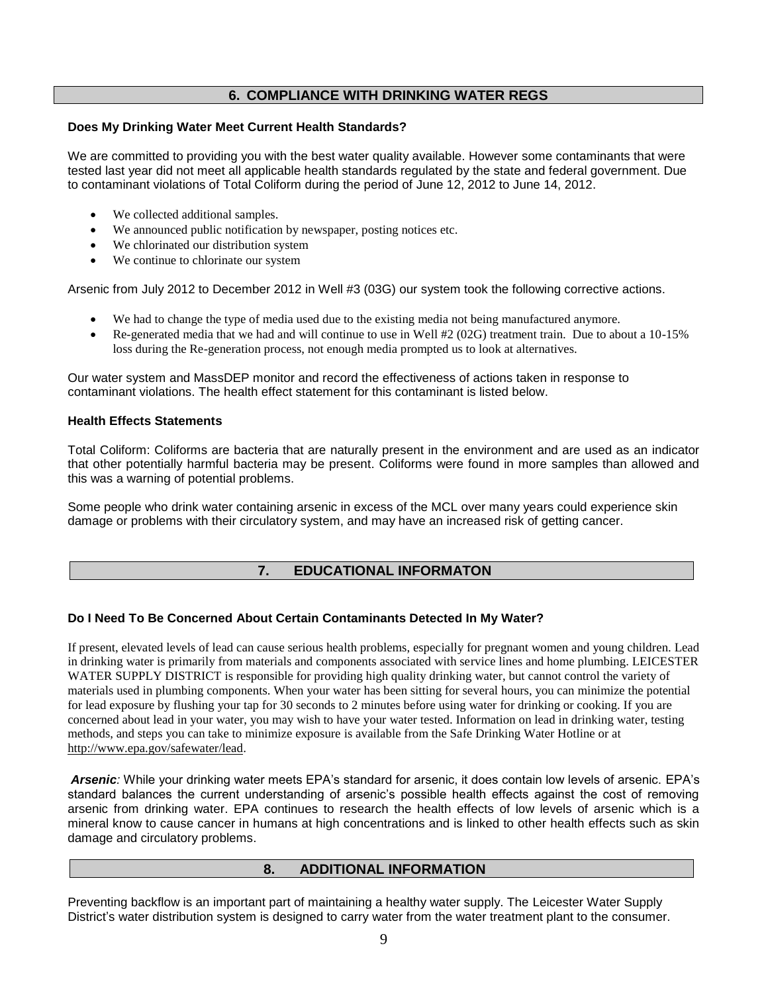# **6. COMPLIANCE WITH DRINKING WATER REGS**

### **Does My Drinking Water Meet Current Health Standards?**

We are committed to providing you with the best water quality available. However some contaminants that were tested last year did not meet all applicable health standards regulated by the state and federal government. Due to contaminant violations of Total Coliform during the period of June 12, 2012 to June 14, 2012.

- We collected additional samples.
- We announced public notification by newspaper, posting notices etc.
- We chlorinated our distribution system
- We continue to chlorinate our system

Arsenic from July 2012 to December 2012 in Well #3 (03G) our system took the following corrective actions.

- We had to change the type of media used due to the existing media not being manufactured anymore.
- Re-generated media that we had and will continue to use in Well #2 (02G) treatment train. Due to about a 10-15% loss during the Re-generation process, not enough media prompted us to look at alternatives.

Our water system and MassDEP monitor and record the effectiveness of actions taken in response to contaminant violations. The health effect statement for this contaminant is listed below.

### **Health Effects Statements**

Total Coliform: Coliforms are bacteria that are naturally present in the environment and are used as an indicator that other potentially harmful bacteria may be present. Coliforms were found in more samples than allowed and this was a warning of potential problems.

Some people who drink water containing arsenic in excess of the MCL over many years could experience skin damage or problems with their circulatory system, and may have an increased risk of getting cancer.

## **7. EDUCATIONAL INFORMATON**

## **Do I Need To Be Concerned About Certain Contaminants Detected In My Water?**

If present, elevated levels of lead can cause serious health problems, especially for pregnant women and young children. Lead in drinking water is primarily from materials and components associated with service lines and home plumbing. LEICESTER WATER SUPPLY DISTRICT is responsible for providing high quality drinking water, but cannot control the variety of materials used in plumbing components. When your water has been sitting for several hours, you can minimize the potential for lead exposure by flushing your tap for 30 seconds to 2 minutes before using water for drinking or cooking. If you are concerned about lead in your water, you may wish to have your water tested. Information on lead in drinking water, testing methods, and steps you can take to minimize exposure is available from the Safe Drinking Water Hotline or at [http://www.epa.gov/safewater/lead.](http://www.epa.gov/safewater/lead)

*Arsenic:* While your drinking water meets EPA's standard for arsenic, it does contain low levels of arsenic. EPA's standard balances the current understanding of arsenic's possible health effects against the cost of removing arsenic from drinking water. EPA continues to research the health effects of low levels of arsenic which is a mineral know to cause cancer in humans at high concentrations and is linked to other health effects such as skin damage and circulatory problems.

# **8. ADDITIONAL INFORMATION**

Preventing backflow is an important part of maintaining a healthy water supply. The Leicester Water Supply District's water distribution system is designed to carry water from the water treatment plant to the consumer.